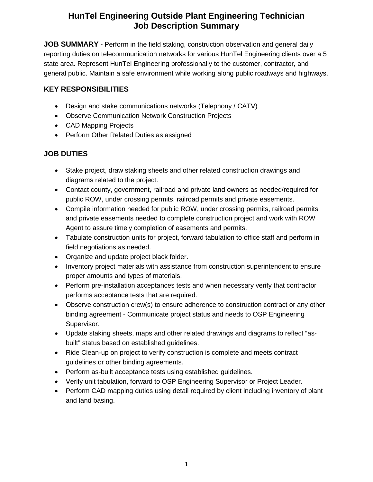## **HunTel Engineering Outside Plant Engineering Technician Job Description Summary**

**JOB SUMMARY -** Perform in the field staking, construction observation and general daily reporting duties on telecommunication networks for various HunTel Engineering clients over a 5 state area. Represent HunTel Engineering professionally to the customer, contractor, and general public. Maintain a safe environment while working along public roadways and highways.

#### **KEY RESPONSIBILITIES**

- Design and stake communications networks (Telephony / CATV)
- Observe Communication Network Construction Projects
- CAD Mapping Projects
- Perform Other Related Duties as assigned

### **JOB DUTIES**

- Stake project, draw staking sheets and other related construction drawings and diagrams related to the project.
- Contact county, government, railroad and private land owners as needed/required for public ROW, under crossing permits, railroad permits and private easements.
- Compile information needed for public ROW, under crossing permits, railroad permits and private easements needed to complete construction project and work with ROW Agent to assure timely completion of easements and permits.
- Tabulate construction units for project, forward tabulation to office staff and perform in field negotiations as needed.
- Organize and update project black folder.
- Inventory project materials with assistance from construction superintendent to ensure proper amounts and types of materials.
- Perform pre-installation acceptances tests and when necessary verify that contractor performs acceptance tests that are required.
- Observe construction crew(s) to ensure adherence to construction contract or any other binding agreement - Communicate project status and needs to OSP Engineering Supervisor.
- Update staking sheets, maps and other related drawings and diagrams to reflect "asbuilt" status based on established guidelines.
- Ride Clean-up on project to verify construction is complete and meets contract guidelines or other binding agreements.
- Perform as-built acceptance tests using established guidelines.
- Verify unit tabulation, forward to OSP Engineering Supervisor or Project Leader.
- Perform CAD mapping duties using detail required by client including inventory of plant and land basing.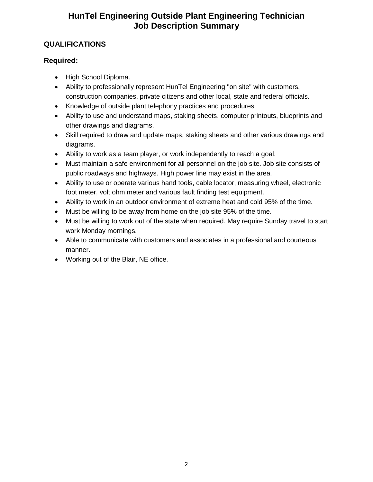# **HunTel Engineering Outside Plant Engineering Technician Job Description Summary**

### **QUALIFICATIONS**

### **Required:**

- High School Diploma.
- Ability to professionally represent HunTel Engineering "on site" with customers, construction companies, private citizens and other local, state and federal officials.
- Knowledge of outside plant telephony practices and procedures
- Ability to use and understand maps, staking sheets, computer printouts, blueprints and other drawings and diagrams.
- Skill required to draw and update maps, staking sheets and other various drawings and diagrams.
- Ability to work as a team player, or work independently to reach a goal.
- Must maintain a safe environment for all personnel on the job site. Job site consists of public roadways and highways. High power line may exist in the area.
- Ability to use or operate various hand tools, cable locator, measuring wheel, electronic foot meter, volt ohm meter and various fault finding test equipment.
- Ability to work in an outdoor environment of extreme heat and cold 95% of the time.
- Must be willing to be away from home on the job site 95% of the time.
- Must be willing to work out of the state when required. May require Sunday travel to start work Monday mornings.
- Able to communicate with customers and associates in a professional and courteous manner.
- Working out of the Blair, NE office.